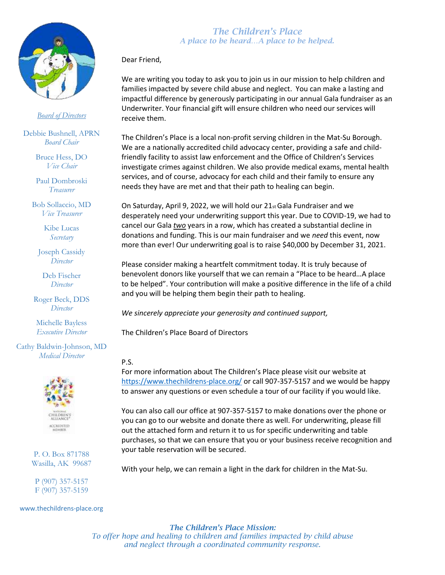

#### *Board of Directors*

Debbie Bushnell, APRN *Board Chair*

> Bruce Hess, DO *Vice Chair*

> Paul Dombroski *Treasurer*

Bob Sollaccio, MD *Vice Treasurer*

> Kibe Lucas *Secretary*

Joseph Cassidy *Director*

Deb Fischer *Director*

Roger Beck, DDS *Director*

Michelle Bayless *Executive Director*

Cathy Baldwin-Johnson, MD *Medical Director*



P. O. Box 871788 Wasilla, AK 99687

P (907) 357-5157 F (907) 357-5159

#### www.thechildrens-place.org

## *The Children's Place A place to be heard…A place to be helped.*

Dear Friend,

We are writing you today to ask you to join us in our mission to help children and families impacted by severe child abuse and neglect. You can make a lasting and impactful difference by generously participating in our annual Gala fundraiser as an Underwriter. Your financial gift will ensure children who need our services will receive them.

The Children's Place is a local non-profit serving children in the Mat-Su Borough. We are a nationally accredited child advocacy center, providing a safe and childfriendly facility to assist law enforcement and the Office of Children's Services investigate crimes against children. We also provide medical exams, mental health services, and of course, advocacy for each child and their family to ensure any needs they have are met and that their path to healing can begin.

On Saturday, April 9, 2022, we will hold our 21st Gala Fundraiser and we desperately need your underwriting support this year. Due to COVID-19, we had to cancel our Gala *two* years in a row, which has created a substantial decline in donations and funding. This is our main fundraiser and we *need* this event, now more than ever! Our underwriting goal is to raise \$40,000 by December 31, 2021.

Please consider making a heartfelt commitment today. It is truly because of benevolent donors like yourself that we can remain a "Place to be heard…A place to be helped". Your contribution will make a positive difference in the life of a child and you will be helping them begin their path to healing.

*We sincerely appreciate your generosity and continued support,*

The Children's Place Board of Directors

### P.S.

For more information about The Children's Place please visit our website at <https://www.thechildrens-place.org/> or call 907-357-5157 and we would be happy to answer any questions or even schedule a tour of our facility if you would like.

You can also call our office at 907-357-5157 to make donations over the phone or you can go to our website and donate there as well. For underwriting, please fill out the attached form and return it to us for specific underwriting and table purchases, so that we can ensure that you or your business receive recognition and your table reservation will be secured.

With your help, we can remain a light in the dark for children in the Mat-Su.

*The Children's Place Mission: To offer hope and healing to children and families impacted by child abuse and neglect through a coordinated community response.*